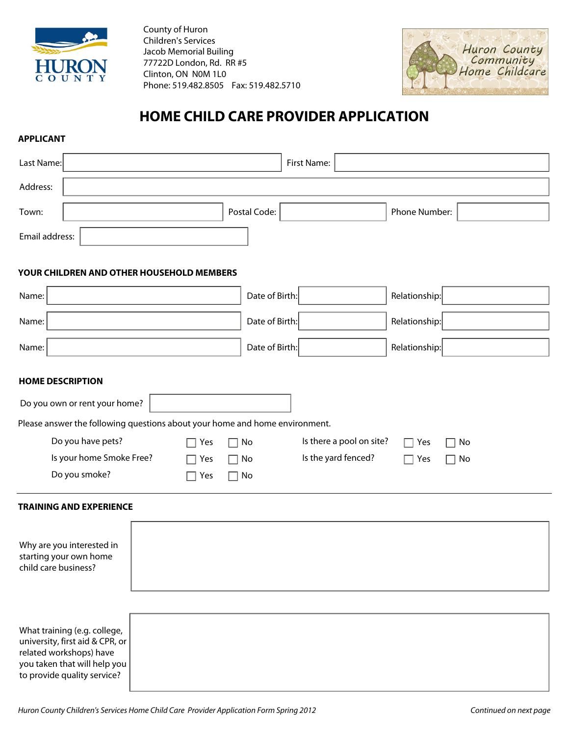

County of Huron Children's Services Jacob Memorial Builing 77722D London, Rd. RR #5 Clinton, ON N0M 1L0 Phone: 519.482.8505 Fax: 519.482.5710



# **HOME CHILD CARE PROVIDER APPLICATION**

### **APPLICANT**

| Last Name:                                                                                 | First Name:                                                      |                                  |
|--------------------------------------------------------------------------------------------|------------------------------------------------------------------|----------------------------------|
| Address:                                                                                   |                                                                  |                                  |
| Town:                                                                                      | Postal Code:                                                     | Phone Number:                    |
| Email address:                                                                             |                                                                  |                                  |
| YOUR CHILDREN AND OTHER HOUSEHOLD MEMBERS                                                  |                                                                  |                                  |
| Name:                                                                                      | Date of Birth:                                                   | Relationship:                    |
| Name:                                                                                      | Date of Birth:                                                   | Relationship:                    |
| Name:                                                                                      | Date of Birth:                                                   | Relationship:                    |
| <b>HOME DESCRIPTION</b>                                                                    |                                                                  |                                  |
| Do you own or rent your home?                                                              |                                                                  |                                  |
| Please answer the following questions about your home and home environment.                |                                                                  |                                  |
| Do you have pets?                                                                          | Is there a pool on site?<br>Yes<br>No<br>П                       | No<br>$\Box$ Yes<br>$\mathbf{I}$ |
| Is your home Smoke Free?                                                                   | Is the yard fenced?<br>No<br>Yes<br>$\mathsf{L}$<br>$\mathsf{L}$ | $\Box$ No<br>$\Box$ Yes          |
| Do you smoke?                                                                              | Yes<br>No<br>$\Box$<br>$\Box$                                    |                                  |
| <b>TRAINING AND EXPERIENCE</b>                                                             |                                                                  |                                  |
| Why are you interested in<br>starting your own home<br>child care business?                |                                                                  |                                  |
| What training (e.g. college,<br>university, first aid & CPR, or<br>related workshops) have |                                                                  |                                  |

you taken that will help you to provide quality service?